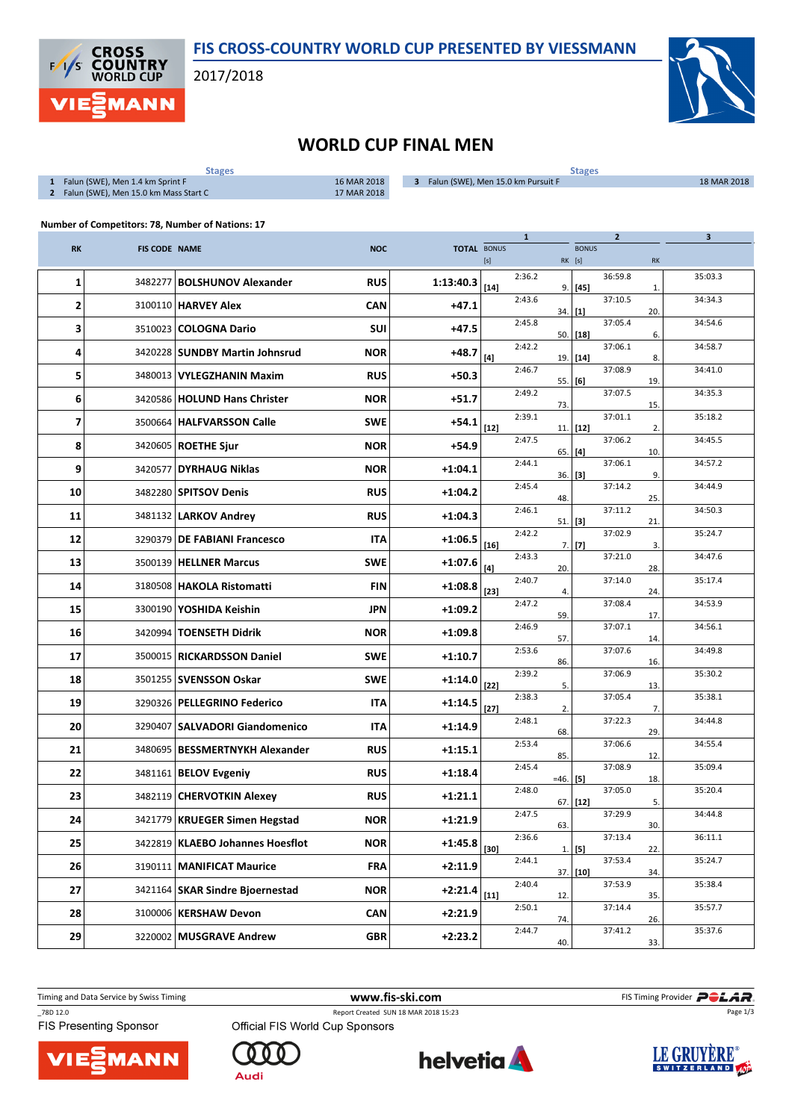

## FIS CROSS-COUNTRY WORLD CUP PRESENTED BY VIESSMANN

2017/2018



## WORLD CUP FINAL MEN

| $\mathbf{1}$                                     | Falun (SWE), Men 1.4 km Sprint F<br>2 Falun (SWE), Men 15.0 km Mass Start C | <b>Stages</b>                      | 16 MAR 2018<br>17 MAR 2018 | 3 Falun (SWE), Men 15.0 km Pursuit F |                                                                                                                                                                                                                                                                                                                                                                                                                                                                                                                                                                                                                                                                    |              |        | <b>Stages</b> |                |              | 18 MAR 2018             |
|--------------------------------------------------|-----------------------------------------------------------------------------|------------------------------------|----------------------------|--------------------------------------|--------------------------------------------------------------------------------------------------------------------------------------------------------------------------------------------------------------------------------------------------------------------------------------------------------------------------------------------------------------------------------------------------------------------------------------------------------------------------------------------------------------------------------------------------------------------------------------------------------------------------------------------------------------------|--------------|--------|---------------|----------------|--------------|-------------------------|
| Number of Competitors: 78, Number of Nations: 17 |                                                                             |                                    |                            |                                      |                                                                                                                                                                                                                                                                                                                                                                                                                                                                                                                                                                                                                                                                    |              |        |               |                |              |                         |
| <b>RK</b>                                        | <b>FIS CODE NAME</b>                                                        |                                    | <b>NOC</b>                 | <b>TOTAL BONUS</b>                   |                                                                                                                                                                                                                                                                                                                                                                                                                                                                                                                                                                                                                                                                    | $\mathbf{1}$ |        | <b>BONUS</b>  | $\overline{2}$ |              | $\overline{\mathbf{3}}$ |
|                                                  |                                                                             |                                    |                            |                                      | $[s] % \begin{center} % \includegraphics[width=\linewidth]{imagesSupplemental_3.png} % \end{center} % \caption { % \textit{DefNet} of the \textit{DefNet} dataset. % Note that the \textit{DefNet} and \textit{DefNet} dataset. % Note that the \textit{DefNet} and \textit{DefNet} dataset. % Note that the \textit{DefNet} and \textit{DefNet} dataset. % Note that the \textit{DefNet} and \textit{DefNet} dataset. % Note that the \textit{DefNet} and \textit{DefNet} dataset. % Note that the \textit{DefNet} and \textit{DefNet} dataset. % Note that the \textit{DefNet} and \textit{DefNet} dataset. % Note that the \textit{DefNet} and \textit{DefNet}$ | 2:36.2       | RK [s] |               | 36:59.8        | <b>RK</b>    | 35:03.3                 |
| 1                                                | 3482277                                                                     | <b>BOLSHUNOV Alexander</b>         | <b>RUS</b>                 | 1:13:40.3                            | $[14]$                                                                                                                                                                                                                                                                                                                                                                                                                                                                                                                                                                                                                                                             |              | 9.     | $[45]$        |                | $\mathbf{1}$ |                         |
| 2                                                |                                                                             | 3100110 HARVEY Alex                | <b>CAN</b>                 | $+47.1$                              |                                                                                                                                                                                                                                                                                                                                                                                                                                                                                                                                                                                                                                                                    | 2:43.6       | 34.    | $[1]$         | 37:10.5        | 20.          | 34:34.3                 |
| 3                                                | 3510023                                                                     | <b>COLOGNA Dario</b>               | SUI                        | $+47.5$                              |                                                                                                                                                                                                                                                                                                                                                                                                                                                                                                                                                                                                                                                                    | 2:45.8       | 50.    | $[18]$        | 37:05.4        | 6.           | 34:54.6                 |
| 4                                                |                                                                             | 3420228   SUNDBY Martin Johnsrud   | <b>NOR</b>                 | $+48.7$                              | $[4]$                                                                                                                                                                                                                                                                                                                                                                                                                                                                                                                                                                                                                                                              | 2:42.2       | 19.    | $[14]$        | 37:06.1        | 8.           | 34:58.7                 |
| 5                                                | 3480013                                                                     | VYLEGZHANIN Maxim                  | <b>RUS</b>                 | $+50.3$                              |                                                                                                                                                                                                                                                                                                                                                                                                                                                                                                                                                                                                                                                                    | 2:46.7       | 55.    | [6]           | 37:08.9        | 19.          | 34:41.0                 |
| 6                                                |                                                                             | 3420586   HOLUND Hans Christer     | <b>NOR</b>                 | $+51.7$                              |                                                                                                                                                                                                                                                                                                                                                                                                                                                                                                                                                                                                                                                                    | 2:49.2       | 73.    |               | 37:07.5        | 15.          | 34:35.3                 |
| 7                                                |                                                                             | 3500664   HALFVARSSON Calle        | <b>SWE</b>                 | +54.1                                | $[12]$                                                                                                                                                                                                                                                                                                                                                                                                                                                                                                                                                                                                                                                             | 2:39.1       | 11.    | $[12]$        | 37:01.1        | 2.           | 35:18.2                 |
| 8                                                |                                                                             | 3420605   ROETHE Sjur              | <b>NOR</b>                 | $+54.9$                              |                                                                                                                                                                                                                                                                                                                                                                                                                                                                                                                                                                                                                                                                    | 2:47.5       | 65.    | [4]           | 37:06.2        | 10.          | 34:45.5                 |
| 9                                                | 3420577                                                                     | <b>DYRHAUG Niklas</b>              | <b>NOR</b>                 | $+1:04.1$                            |                                                                                                                                                                                                                                                                                                                                                                                                                                                                                                                                                                                                                                                                    | 2:44.1       | 36.    | [3]           | 37:06.1        | 9.           | 34:57.2                 |
| 10                                               |                                                                             | 3482280   SPITSOV Denis            | <b>RUS</b>                 | $+1:04.2$                            |                                                                                                                                                                                                                                                                                                                                                                                                                                                                                                                                                                                                                                                                    | 2:45.4       | 48.    |               | 37:14.2        | 25.          | 34:44.9                 |
| 11                                               |                                                                             | 3481132   LARKOV Andrey            | <b>RUS</b>                 | $+1:04.3$                            |                                                                                                                                                                                                                                                                                                                                                                                                                                                                                                                                                                                                                                                                    | 2:46.1       | 51.    | $[3]$         | 37:11.2        | 21.          | 34:50.3                 |
| 12                                               | 3290379                                                                     | <b>DE FABIANI Francesco</b>        | ITA                        | $+1:06.5$                            | $[16]$                                                                                                                                                                                                                                                                                                                                                                                                                                                                                                                                                                                                                                                             | 2:42.2       |        | $7.$ [7]      | 37:02.9        | 3.           | 35:24.7                 |
| 13                                               |                                                                             | 3500139   HELLNER Marcus           | <b>SWE</b>                 | $+1:07.6$                            | $[4]$                                                                                                                                                                                                                                                                                                                                                                                                                                                                                                                                                                                                                                                              | 2:43.3       | 20.    |               | 37:21.0        | 28.          | 34:47.6                 |
| 14                                               |                                                                             | 3180508   HAKOLA Ristomatti        | <b>FIN</b>                 | $+1:08.8$                            | $[23]$                                                                                                                                                                                                                                                                                                                                                                                                                                                                                                                                                                                                                                                             | 2:40.7       | 4.     |               | 37:14.0        | 24.          | 35:17.4                 |
| 15                                               |                                                                             | 3300190   YOSHIDA Keishin          | <b>JPN</b>                 | +1:09.2                              |                                                                                                                                                                                                                                                                                                                                                                                                                                                                                                                                                                                                                                                                    | 2:47.2       | 59.    |               | 37:08.4        | 17.          | 34:53.9                 |
| 16                                               |                                                                             | 3420994   TOENSETH Didrik          | <b>NOR</b>                 | $+1:09.8$                            |                                                                                                                                                                                                                                                                                                                                                                                                                                                                                                                                                                                                                                                                    | 2:46.9       | 57.    |               | 37:07.1        | 14           | 34:56.1                 |
| 17                                               | 3500015                                                                     | <b>RICKARDSSON Daniel</b>          | <b>SWE</b>                 | $+1:10.7$                            |                                                                                                                                                                                                                                                                                                                                                                                                                                                                                                                                                                                                                                                                    | 2:53.6       | 86.    |               | 37:07.6        | 16.          | 34:49.8                 |
| 18                                               |                                                                             | 3501255   SVENSSON Oskar           | <b>SWE</b>                 | +1:14.0                              | $[22]$                                                                                                                                                                                                                                                                                                                                                                                                                                                                                                                                                                                                                                                             | 2:39.2       | 5.     |               | 37:06.9        | 13.          | 35:30.2                 |
| 19                                               |                                                                             | 3290326   PELLEGRINO Federico      | <b>ITA</b>                 | $+1:14.5$                            | $[27]$                                                                                                                                                                                                                                                                                                                                                                                                                                                                                                                                                                                                                                                             | 2:38.3       | 2.     |               | 37:05.4        | 7.           | 35:38.1                 |
| 20                                               |                                                                             | 3290407   SALVADORI Giandomenico   | <b>ITA</b>                 | $+1:14.9$                            |                                                                                                                                                                                                                                                                                                                                                                                                                                                                                                                                                                                                                                                                    | 2:48.1       | 68.    |               | 37:22.3        | 29.          | 34:44.8                 |
| 21                                               |                                                                             | 3480695   BESSMERTNYKH Alexander   | <b>RUS</b>                 | $+1:15.1$                            |                                                                                                                                                                                                                                                                                                                                                                                                                                                                                                                                                                                                                                                                    | 2:53.4       | 85.    |               | 37:06.6        | 12.          | 34:55.4                 |
| 22                                               |                                                                             | 3481161 BELOV Evgeniy              | <b>RUS</b>                 | $+1:18.4$                            |                                                                                                                                                                                                                                                                                                                                                                                                                                                                                                                                                                                                                                                                    | 2:45.4       | $=46.$ | $[5]$         | 37:08.9        | 18.          | 35:09.4                 |
| 23                                               |                                                                             | 3482119 CHERVOTKIN Alexey          | <b>RUS</b>                 | $+1:21.1$                            |                                                                                                                                                                                                                                                                                                                                                                                                                                                                                                                                                                                                                                                                    | 2:48.0       | 67.    | $[12]$        | 37:05.0        | 5.           | 35:20.4                 |
| 24                                               |                                                                             | 3421779 KRUEGER Simen Hegstad      | <b>NOR</b>                 | $+1:21.9$                            |                                                                                                                                                                                                                                                                                                                                                                                                                                                                                                                                                                                                                                                                    | 2:47.5       | 63.    |               | 37:29.9        | 30.          | 34:44.8                 |
| 25                                               |                                                                             | 3422819   KLAEBO Johannes Hoesflot | <b>NOR</b>                 | $+1:45.8$                            | $[30]$                                                                                                                                                                                                                                                                                                                                                                                                                                                                                                                                                                                                                                                             | 2:36.6       |        | $1.$ [5]      | 37:13.4        | 22.          | 36:11.1                 |
| 26                                               |                                                                             | 3190111 MANIFICAT Maurice          | <b>FRA</b>                 | $+2:11.9$                            |                                                                                                                                                                                                                                                                                                                                                                                                                                                                                                                                                                                                                                                                    | 2:44.1       |        | 37. [10]      | 37:53.4        | 34.          | 35:24.7                 |
| 27                                               |                                                                             | 3421164 SKAR Sindre Bioernestad    | <b>NOR</b>                 | $+2:21.4$                            | $[11]$                                                                                                                                                                                                                                                                                                                                                                                                                                                                                                                                                                                                                                                             | 2:40.4       | 12.    |               | 37:53.9        | 35.          | 35:38.4                 |
| 28                                               |                                                                             | 3100006   KERSHAW Devon            | <b>CAN</b>                 | $+2:21.9$                            |                                                                                                                                                                                                                                                                                                                                                                                                                                                                                                                                                                                                                                                                    | 2:50.1       |        |               | 37:14.4        |              | 35:57.7                 |
| 29                                               |                                                                             | 3220002 MUSGRAVE Andrew            | GBR                        | $+2:23.2$                            |                                                                                                                                                                                                                                                                                                                                                                                                                                                                                                                                                                                                                                                                    | 2:44.7       | 74.    |               | 37:41.2        | 26.          | 35:37.6                 |
|                                                  |                                                                             |                                    |                            |                                      |                                                                                                                                                                                                                                                                                                                                                                                                                                                                                                                                                                                                                                                                    |              | 40.    |               |                | 33.          |                         |

Timing and Data Service by Swiss Timing **WWW.fis-ski.com WWW.fis-Ski.com** FIS Timing Provider **PCLAR**. Page 1/3

\_78D 12.0 Report Created SUN 18 MAR 2018 15:23





Official FIS World Cup Sponsors



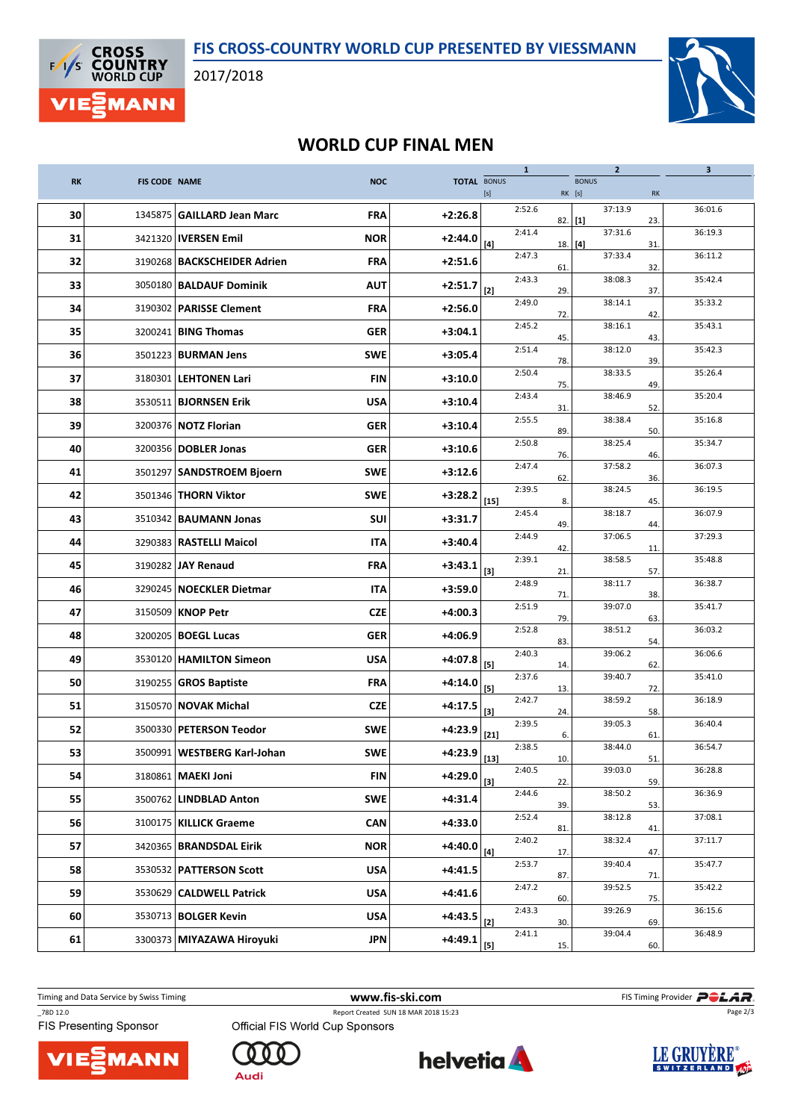

2017/2018



## WORLD CUP FINAL MEN

|           |                      |                                |            |                                       |                                                                                                                                                                                                                                                                                                                                                                                                                                                                                                                                                                                                                                                                    | $\mathbf{1}$ |                        | $\overline{2}$ |           | 3       |
|-----------|----------------------|--------------------------------|------------|---------------------------------------|--------------------------------------------------------------------------------------------------------------------------------------------------------------------------------------------------------------------------------------------------------------------------------------------------------------------------------------------------------------------------------------------------------------------------------------------------------------------------------------------------------------------------------------------------------------------------------------------------------------------------------------------------------------------|--------------|------------------------|----------------|-----------|---------|
| <b>RK</b> | <b>FIS CODE NAME</b> |                                | <b>NOC</b> | <b>TOTAL BONUS</b>                    | $[s] % \begin{center} % \includegraphics[width=\linewidth]{imagesSupplemental_3.png} % \end{center} % \caption { % \textit{DefNet} of the \textit{DefNet} dataset. % Note that the \textit{DefNet} and \textit{DefNet} dataset. % Note that the \textit{DefNet} and \textit{DefNet} dataset. % Note that the \textit{DefNet} and \textit{DefNet} dataset. % Note that the \textit{DefNet} and \textit{DefNet} dataset. % Note that the \textit{DefNet} and \textit{DefNet} dataset. % Note that the \textit{DefNet} and \textit{DefNet} dataset. % Note that the \textit{DefNet} and \textit{DefNet} dataset. % Note that the \textit{DefNet} and \textit{DefNet}$ |              | <b>BONUS</b><br>RK [s] |                | RK        |         |
| 30        |                      | 1345875 GAILLARD Jean Marc     | <b>FRA</b> | $+2:26.8$                             |                                                                                                                                                                                                                                                                                                                                                                                                                                                                                                                                                                                                                                                                    | 2:52.6       |                        | 37:13.9        |           | 36:01.6 |
| 31        |                      | 3421320   IVERSEN Emil         | <b>NOR</b> | $+2:44.0$                             |                                                                                                                                                                                                                                                                                                                                                                                                                                                                                                                                                                                                                                                                    | 2:41.4       | 82.<br>$[1]$           | 37:31.6        | 23.       | 36:19.3 |
| 32        |                      | 3190268 BACKSCHEIDER Adrien    | <b>FRA</b> | $+2:51.6$                             | [4]                                                                                                                                                                                                                                                                                                                                                                                                                                                                                                                                                                                                                                                                | 2:47.3       | 18.   [4]              | 37:33.4        | 31<br>32. | 36:11.2 |
| 33        |                      | 3050180   BALDAUF Dominik      | <b>AUT</b> | $+2:51.7$                             | $[2]$                                                                                                                                                                                                                                                                                                                                                                                                                                                                                                                                                                                                                                                              | 2:43.3       | 61.<br>29.             | 38:08.3        | 37.       | 35:42.4 |
| 34        |                      | 3190302   PARISSE Clement      | <b>FRA</b> | $+2:56.0$                             |                                                                                                                                                                                                                                                                                                                                                                                                                                                                                                                                                                                                                                                                    | 2:49.0       | 72.                    | 38:14.1        | 42.       | 35:33.2 |
| 35        |                      | 3200241 BING Thomas            | <b>GER</b> | $+3:04.1$                             |                                                                                                                                                                                                                                                                                                                                                                                                                                                                                                                                                                                                                                                                    | 2:45.2       | 45.                    | 38:16.1        | 43.       | 35:43.1 |
| 36        |                      | 3501223   <b>BURMAN Jens</b>   | <b>SWE</b> | $+3:05.4$                             |                                                                                                                                                                                                                                                                                                                                                                                                                                                                                                                                                                                                                                                                    | 2:51.4       | 78.                    | 38:12.0        | 39.       | 35:42.3 |
| 37        |                      | 3180301   LEHTONEN Lari        | <b>FIN</b> | $+3:10.0$                             |                                                                                                                                                                                                                                                                                                                                                                                                                                                                                                                                                                                                                                                                    | 2:50.4       | 75.                    | 38:33.5        | 49.       | 35:26.4 |
| 38        |                      | 3530511   BJORNSEN Erik        | <b>USA</b> | $+3:10.4$                             |                                                                                                                                                                                                                                                                                                                                                                                                                                                                                                                                                                                                                                                                    | 2:43.4       | 31.                    | 38:46.9        | 52.       | 35:20.4 |
| 39        |                      | 3200376 NOTZ Florian           | <b>GER</b> | $+3:10.4$                             |                                                                                                                                                                                                                                                                                                                                                                                                                                                                                                                                                                                                                                                                    | 2:55.5       | 89.                    | 38:38.4        | 50.       | 35:16.8 |
| 40        |                      | 3200356   DOBLER Jonas         | <b>GER</b> | $+3:10.6$                             |                                                                                                                                                                                                                                                                                                                                                                                                                                                                                                                                                                                                                                                                    | 2:50.8       | 76.                    | 38:25.4        | 46.       | 35:34.7 |
| 41        |                      | 3501297   SANDSTROEM Bjoern    | <b>SWE</b> | $+3:12.6$                             |                                                                                                                                                                                                                                                                                                                                                                                                                                                                                                                                                                                                                                                                    | 2:47.4       | 62.                    | 37:58.2        | 36.       | 36:07.3 |
| 42        |                      | 3501346   THORN Viktor         | <b>SWE</b> | $+3:28.2$                             | $[15]$                                                                                                                                                                                                                                                                                                                                                                                                                                                                                                                                                                                                                                                             | 2:39.5       | 8.                     | 38:24.5        | 45.       | 36:19.5 |
| 43        |                      | 3510342   <b>BAUMANN Jonas</b> | SUI        | $+3:31.7$                             |                                                                                                                                                                                                                                                                                                                                                                                                                                                                                                                                                                                                                                                                    | 2:45.4       | 49.                    | 38:18.7        | 44        | 36:07.9 |
| 44        |                      | 3290383   RASTELLI Maicol      | <b>ITA</b> | $+3:40.4$                             |                                                                                                                                                                                                                                                                                                                                                                                                                                                                                                                                                                                                                                                                    | 2:44.9       | 42.                    | 37:06.5        | 11        | 37:29.3 |
| 45        |                      | 3190282 JAY Renaud             | <b>FRA</b> | $+3:43.1$                             | $[3]$                                                                                                                                                                                                                                                                                                                                                                                                                                                                                                                                                                                                                                                              | 2:39.1       | 21.                    | 38:58.5        | 57.       | 35:48.8 |
| 46        |                      | 3290245   NOECKLER Dietmar     | <b>ITA</b> | $+3:59.0$                             |                                                                                                                                                                                                                                                                                                                                                                                                                                                                                                                                                                                                                                                                    | 2:48.9       | 71.                    | 38:11.7        | 38.       | 36:38.7 |
| 47        |                      | 3150509 KNOP Petr              | <b>CZE</b> | $+4:00.3$                             |                                                                                                                                                                                                                                                                                                                                                                                                                                                                                                                                                                                                                                                                    | 2:51.9       | 79.                    | 39:07.0        | 63.       | 35:41.7 |
| 48        |                      | 3200205   BOEGL Lucas          | <b>GER</b> | $+4:06.9$                             |                                                                                                                                                                                                                                                                                                                                                                                                                                                                                                                                                                                                                                                                    | 2:52.8       | 83.                    | 38:51.2        | 54.       | 36:03.2 |
| 49        |                      | 3530120   HAMILTON Simeon      | <b>USA</b> | $+4:07.8$                             | [5]                                                                                                                                                                                                                                                                                                                                                                                                                                                                                                                                                                                                                                                                | 2:40.3       | 14.                    | 39:06.2        | 62        | 36:06.6 |
| 50        |                      | 3190255 GROS Baptiste          | <b>FRA</b> | $+4:14.0$                             | $[5]$                                                                                                                                                                                                                                                                                                                                                                                                                                                                                                                                                                                                                                                              | 2:37.6       | 13.                    | 39:40.7        | 72.       | 35:41.0 |
| 51        |                      | 3150570 NOVAK Michal           | <b>CZE</b> | $+4:17.5$                             | $[3]$                                                                                                                                                                                                                                                                                                                                                                                                                                                                                                                                                                                                                                                              | 2:42.7       | 24.                    | 38:59.2        | 58.       | 36:18.9 |
| 52        |                      | 3500330 PETERSON Teodor        | <b>SWE</b> | $+4:23.9$                             | $[21]$                                                                                                                                                                                                                                                                                                                                                                                                                                                                                                                                                                                                                                                             | 2:39.5       | 6.                     | 39:05.3        | 61        | 36:40.4 |
| 53        |                      | 3500991   WESTBERG Karl-Johan  | <b>SWE</b> | +4:23.9 $\left  \frac{13}{2} \right $ |                                                                                                                                                                                                                                                                                                                                                                                                                                                                                                                                                                                                                                                                    | 2:38.5       | 10.                    | 38:44.0        | 51        | 36:54.7 |
| 54        |                      | 3180861 MAEKI Joni             | <b>FIN</b> | $+4:29.0$                             | $[3]$                                                                                                                                                                                                                                                                                                                                                                                                                                                                                                                                                                                                                                                              | 2:40.5       | 22.                    | 39:03.0        | 59.       | 36:28.8 |
| 55        |                      | 3500762   LINDBLAD Anton       | <b>SWE</b> | $+4:31.4$                             |                                                                                                                                                                                                                                                                                                                                                                                                                                                                                                                                                                                                                                                                    | 2:44.6       | 39.                    | 38:50.2        | 53.       | 36:36.9 |
| 56        |                      | 3100175   KILLICK Graeme       | <b>CAN</b> | $+4:33.0$                             |                                                                                                                                                                                                                                                                                                                                                                                                                                                                                                                                                                                                                                                                    | 2:52.4       | 81.                    | 38:12.8        | 41.       | 37:08.1 |
| 57        |                      | 3420365   BRANDSDAL Eirik      | <b>NOR</b> | $+4:40.0$                             | $[4] \centering% \includegraphics[width=1.0\textwidth]{images/TrDiM1.png} \caption{The 3D (top) and the 4D (bottom) are shown in the left and right.} \label{TrDiM1}$                                                                                                                                                                                                                                                                                                                                                                                                                                                                                              | 2:40.2       | 17.                    | 38:32.4        | 47.       | 37:11.7 |
| 58        |                      | 3530532   PATTERSON Scott      | <b>USA</b> | $+4:41.5$                             |                                                                                                                                                                                                                                                                                                                                                                                                                                                                                                                                                                                                                                                                    | 2:53.7       | 87.                    | 39:40.4        | 71.       | 35:47.7 |
| 59        |                      | 3530629 CALDWELL Patrick       | <b>USA</b> | $+4:41.6$                             |                                                                                                                                                                                                                                                                                                                                                                                                                                                                                                                                                                                                                                                                    | 2:47.2       | 60.                    | 39:52.5        | 75.       | 35:42.2 |
| 60        |                      | 3530713 BOLGER Kevin           | <b>USA</b> | $+4:43.5$                             | $[2]$                                                                                                                                                                                                                                                                                                                                                                                                                                                                                                                                                                                                                                                              | 2:43.3       | 30.                    | 39:26.9        | 69.       | 36:15.6 |
| 61        |                      | 3300373 MIYAZAWA Hiroyuki      | <b>JPN</b> | $+4:49.1$                             | [5]                                                                                                                                                                                                                                                                                                                                                                                                                                                                                                                                                                                                                                                                | 2:41.1       | 15.                    | 39:04.4        | 60.       | 36:48.9 |

Timing and Data Service by Swiss Timing **WWW.fis-ski.com WWW.fis-Ski.com** FIS Timing Provider **PCLAR**. Page 2/3

\_78D 12.0 Report Created SUN 18 MAR 2018 15:23

в